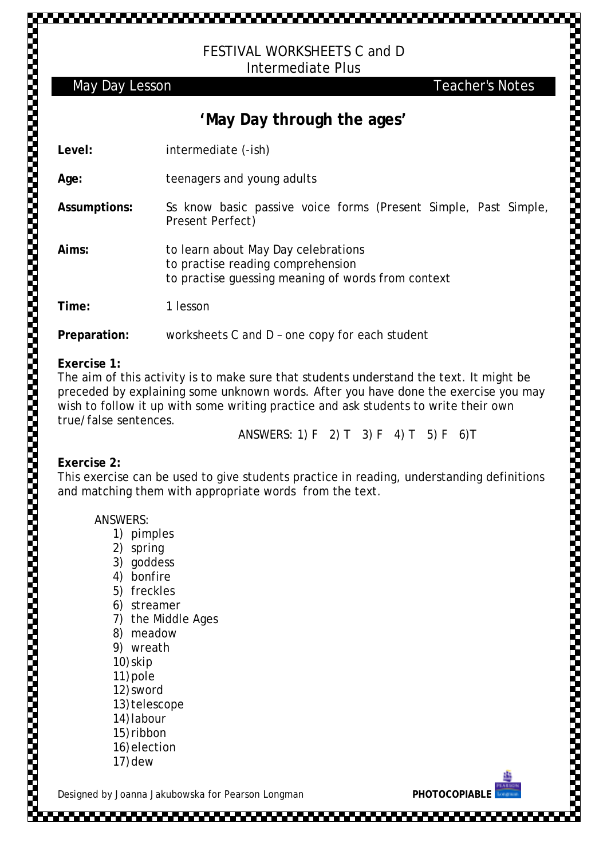### FESTIVAL WORKSHEETS C and D Intermediate Plus

May Day Lesson **Teacher's Notes** 

## **'May Day through the ages'**

| Level:       | intermediate (-ish)                                                                                                            |
|--------------|--------------------------------------------------------------------------------------------------------------------------------|
| Age:         | teenagers and young adults                                                                                                     |
| Assumptions: | Ss know basic passive voice forms (Present Simple, Past Simple,<br>Present Perfect)                                            |
| Aims:        | to learn about May Day celebrations<br>to practise reading comprehension<br>to practise quessing meaning of words from context |
| Time:        | 1 lesson                                                                                                                       |
| Preparation: | worksheets C and D - one copy for each student                                                                                 |

#### **Exercise 1:**

The aim of this activity is to make sure that students understand the text. It might be preceded by explaining some unknown words. After you have done the exercise you may wish to follow it up with some writing practice and ask students to write their own true/false sentences.

ANSWERS: 1) F 2) T 3) F 4) T 5) F 6)T

### **Exercise 2:**

2010年12月12日,10月12日,10月22日,10月22日,10月22日,10月22日,10月22日,10月22日,10月22日,10月22日,10月22日,10月22日,10月22日,10月2

This exercise can be used to give students practice in reading, understanding definitions and matching them with appropriate words from the text.

ANSWERS:

- 1) pimples
- 2) spring
- 3) goddess
- 4) bonfire
- 5) freckles
- 6) streamer
- 7) the Middle Ages
- 8) meadow
- 9) wreath
- 10)skip
- 11)pole
- 12)sword
- 13)telescope
- 14) labour
- 15)ribbon
- 16)election
- 17)dew

Designed by Joanna Jakubowska for Pearson Longman **PHOTOCOPIAB** 

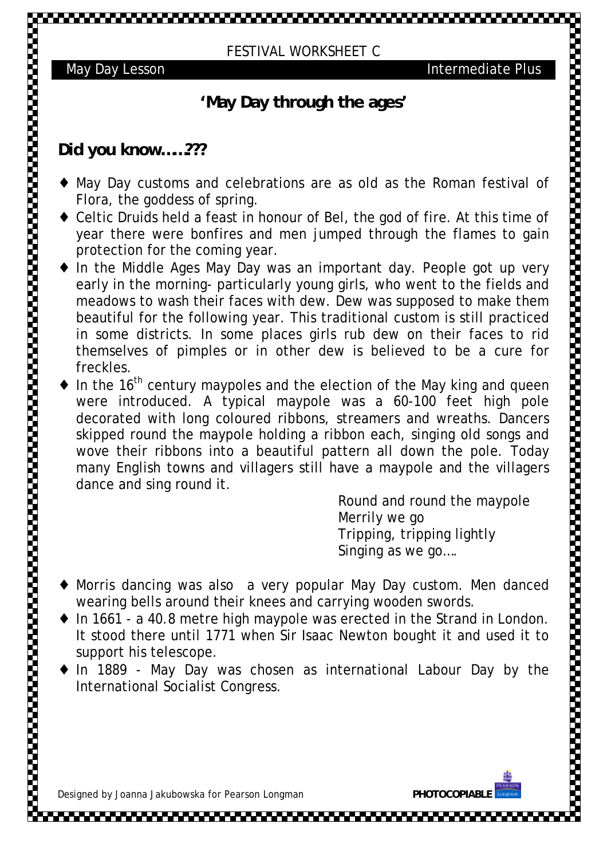FESTIVAL WORKSHEET C

May Day Lesson **Intermediate Plus** 

# **'May Day through the ages'**

## **Did you know……???**

- ♦ May Day customs and celebrations are as old as the Roman festival of Flora, the goddess of spring.
- ♦ Celtic Druids held a feast in honour of Bel, the god of fire. At this time of year there were bonfires and men jumped through the flames to gain protection for the coming year.
- ♦ In the Middle Ages May Day was an important day. People got up very early in the morning- particularly young girls, who went to the fields and meadows to wash their faces with dew. Dew was supposed to make them beautiful for the following year. This traditional custom is still practiced in some districts. In some places girls rub dew on their faces to rid themselves of pimples or in other dew is believed to be a cure for freckles.
- In the 16<sup>th</sup> century maypoles and the election of the May king and queen were introduced. A typical maypole was a 60-100 feet high pole decorated with long coloured ribbons, streamers and wreaths. Dancers skipped round the maypole holding a ribbon each, singing old songs and wove their ribbons into a beautiful pattern all down the pole. Today many English towns and villagers still have a maypole and the villagers dance and sing round it.

 Round and round the maypole Merrily we go Tripping, tripping lightly Singing as we go….

- Morris dancing was also a very popular May Day custom. Men danced wearing bells around their knees and carrying wooden swords.
- ♦ In 1661 a 40.8 metre high maypole was erected in the Strand in London. It stood there until 1771 when Sir Isaac Newton bought it and used it to support his telescope.
- ♦ In 1889 May Day was chosen as international Labour Day by the International Socialist Congress.